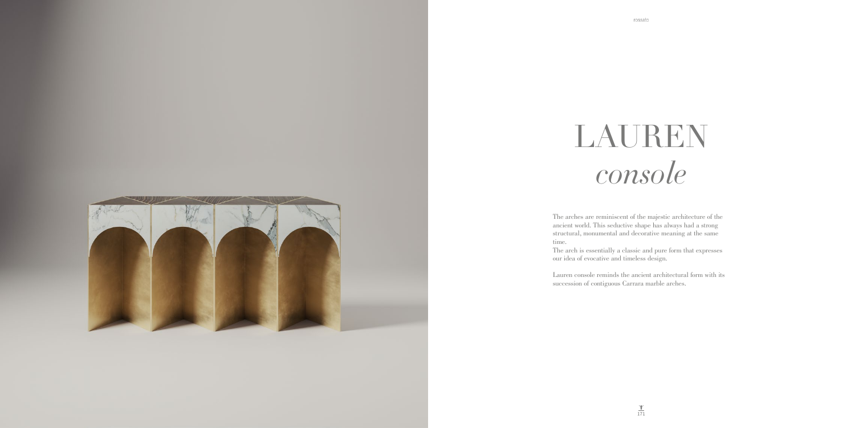

The arches are reminiscent of the majestic architecture of the ancient world. This seductive shape has always had a strong structural, monumental and decorative meaning at the same time.

The arch is essentially a classic and pure form that expresses our idea of evocative and timeless design.

Lauren console reminds the ancient architectural form with its succession of contiguous Carrara marble arches.

## LAUREN *console*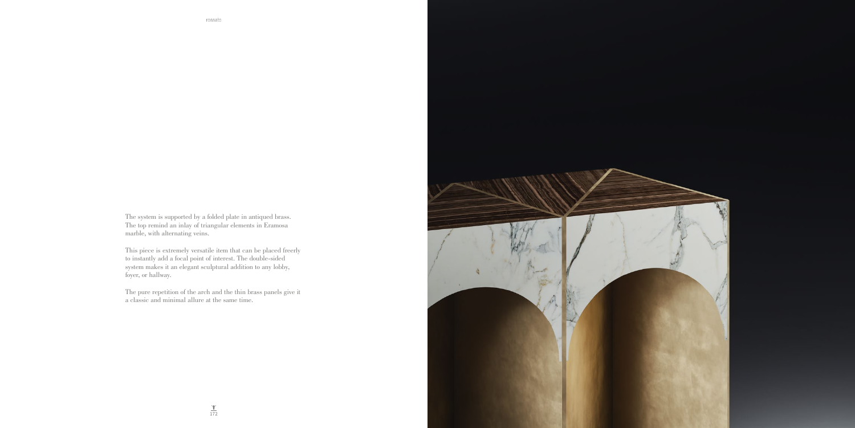The system is supported by a folded plate in antiqued brass. The top remind an inlay of triangular elements in Eramosa marble, with alternating veins.

This piece is extremely versatile item that can be placed freerly to instantly add a focal point of interest. The double-sided system makes it an elegant sculptural addition to any lobby, foyer, or hallway.

The pure repetition of the arch and the thin brass panels give it a classic and minimal allure at the same time.

rossato

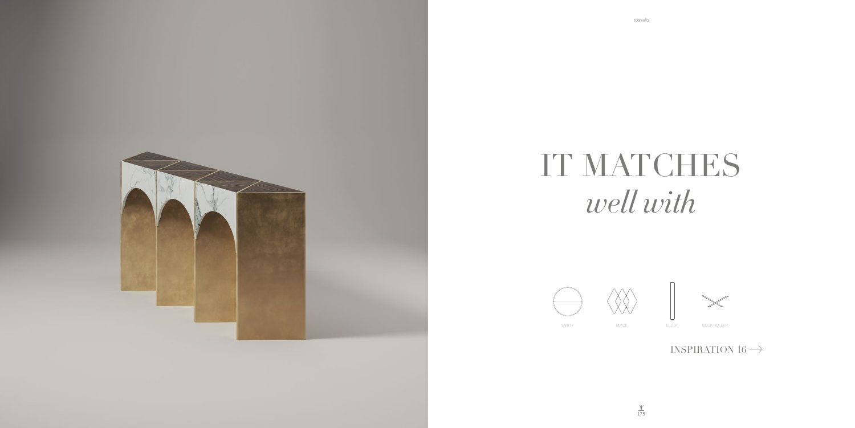

## IT MATCHES well with





VANITY

BLAZE

ELLIOT



 $\begin{picture}(220,20) \put(0,0){\line(1,0){10}} \put(15,0){\line(1,0){10}} \put(15,0){\line(1,0){10}} \put(15,0){\line(1,0){10}} \put(15,0){\line(1,0){10}} \put(15,0){\line(1,0){10}} \put(15,0){\line(1,0){10}} \put(15,0){\line(1,0){10}} \put(15,0){\line(1,0){10}} \put(15,0){\line(1,0){10}} \put(15,0){\line(1,0){10}} \put(15,0){\line($ 

INSPIRATION 16  $\rightarrow$